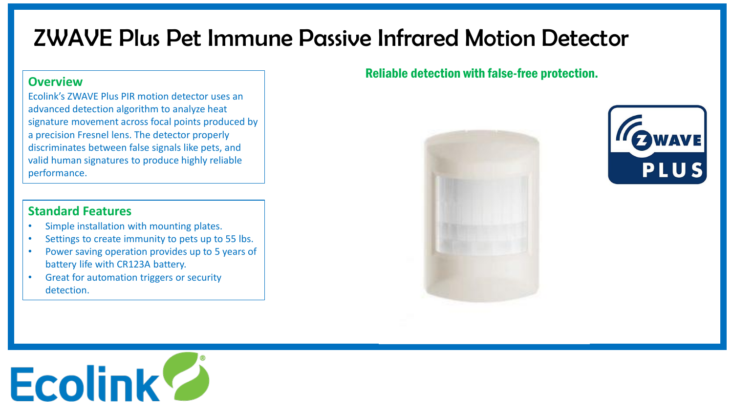# ZWAVE Plus Pet Immune Passive Infrared Motion Detector

#### **Overview**

Ecolink's ZWAVE Plus PIR motion detector uses an advanced detection algorithm to analyze heat signature movement across focal points produced by a precision Fresnel lens. The detector properly discriminates between false signals like pets, and valid human signatures to produce highly reliable performance.

## **Standard Features**

- Simple installation with mounting plates.
- Settings to create immunity to pets up to 55 lbs.
- Power saving operation provides up to 5 years of battery life with CR123A battery.
- Great for automation triggers or security detection.

## Reliable detection with false-free protection.





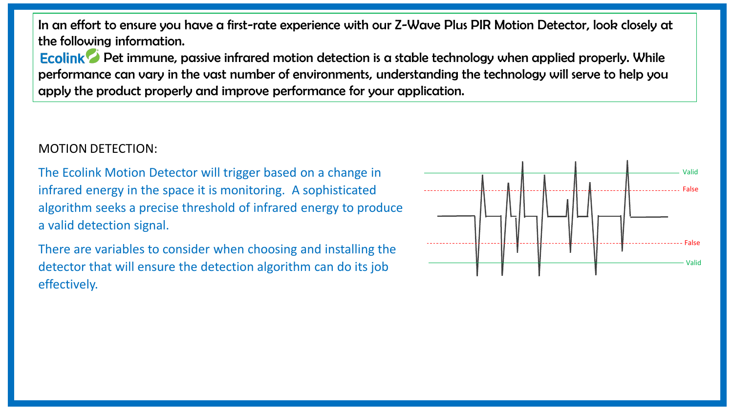In an effort to ensure you have a first-rate experience with our Z-Wave Plus PIR Motion Detector, look closely at the following information.

Ecolink<sup>o</sup> Pet immune, passive infrared motion detection is a stable technology when applied properly. While performance can vary in the vast number of environments, understanding the technology will serve to help you apply the product properly and improve performance for your application.

#### MOTION DETECTION:

The Ecolink Motion Detector will trigger based on a change in infrared energy in the space it is monitoring. A sophisticated algorithm seeks a precise threshold of infrared energy to produce a valid detection signal.

There are variables to consider when choosing and installing the detector that will ensure the detection algorithm can do its job effectively.

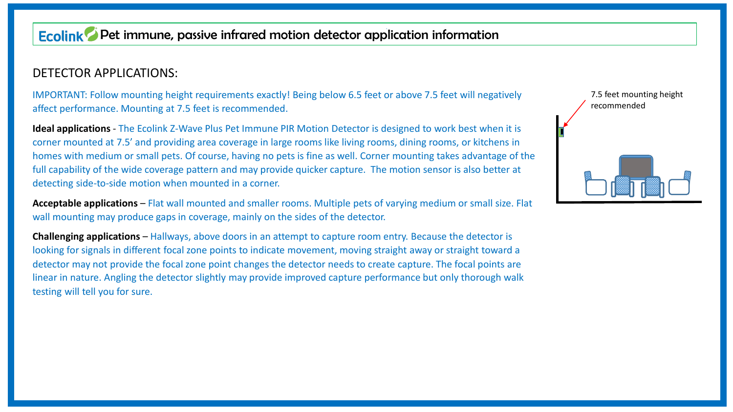## **Ecolink** Pet immune, passive infrared motion detector application information

#### DETECTOR APPLICATIONS:

IMPORTANT: Follow mounting height requirements exactly! Being below 6.5 feet or above 7.5 feet will negatively affect performance. Mounting at 7.5 feet is recommended.

**Ideal applications** - The Ecolink Z-Wave Plus Pet Immune PIR Motion Detector is designed to work best when it is corner mounted at 7.5' and providing area coverage in large rooms like living rooms, dining rooms, or kitchens in homes with medium or small pets. Of course, having no pets is fine as well. Corner mounting takes advantage of the full capability of the wide coverage pattern and may provide quicker capture. The motion sensor is also better at detecting side-to-side motion when mounted in a corner.

**Acceptable applications** – Flat wall mounted and smaller rooms. Multiple pets of varying medium or small size. Flat wall mounting may produce gaps in coverage, mainly on the sides of the detector.

**Challenging applications** – Hallways, above doors in an attempt to capture room entry. Because the detector is looking for signals in different focal zone points to indicate movement, moving straight away or straight toward a detector may not provide the focal zone point changes the detector needs to create capture. The focal points are linear in nature. Angling the detector slightly may provide improved capture performance but only thorough walk testing will tell you for sure.

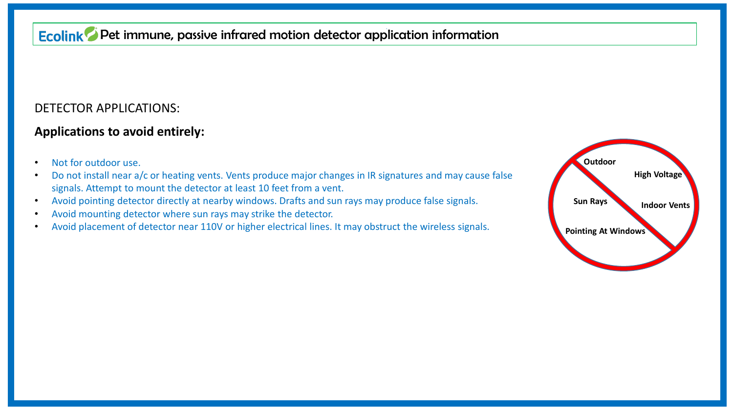## Ecolink<sup>o</sup> Pet immune, passive infrared motion detector application information

#### DETECTOR APPLICATIONS:

#### **Applications to avoid entirely:**

- Not for outdoor use.
- Do not install near a/c or heating vents. Vents produce major changes in IR signatures and may cause false signals. Attempt to mount the detector at least 10 feet from a vent.
- Avoid pointing detector directly at nearby windows. Drafts and sun rays may produce false signals.
- Avoid mounting detector where sun rays may strike the detector.
- Avoid placement of detector near 110V or higher electrical lines. It may obstruct the wireless signals.

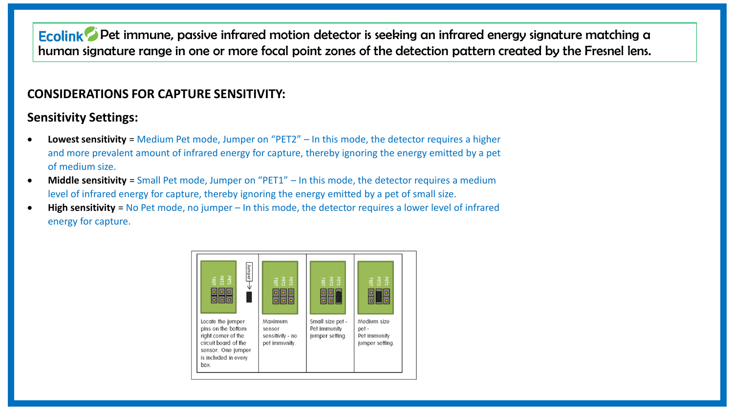Ecolink<sup>o</sup> Pet immune, passive infrared motion detector is seeking an infrared energy signature matching a human signature range in one or more focal point zones of the detection pattern created by the Fresnel lens.

#### **CONSIDERATIONS FOR CAPTURE SENSITIVITY:**

### **Sensitivity Settings:**

- **Lowest sensitivity** = Medium Pet mode, Jumper on "PET2" In this mode, the detector requires a higher and more prevalent amount of infrared energy for capture, thereby ignoring the energy emitted by a pet of medium size.
- **Middle sensitivity** = Small Pet mode, Jumper on "PET1" In this mode, the detector requires a medium level of infrared energy for capture, thereby ignoring the energy emitted by a pet of small size.
- **High sensitivity** = No Pet mode, no jumper In this mode, the detector requires a lower level of infrared energy for capture.

| Jumper<br>国胃国<br>388                                                                                                                         | 國贸量<br><b>ollo</b><br>ollollo                          | 國贸量<br>Ιo                                           | 國贸量<br>미<br>loll                                        |
|----------------------------------------------------------------------------------------------------------------------------------------------|--------------------------------------------------------|-----------------------------------------------------|---------------------------------------------------------|
| Locate the jumper<br>pins on the bottom<br>right corner of the<br>circuit board of the<br>sensor. One jumper<br>is included in every<br>box. | Maximum<br>sensor<br>sensitivity - no<br>pet immunity. | Small size pet -<br>Pet immunity<br>jumper setting. | Medium size<br>pet -<br>Pet immunity<br>jumper setting. |